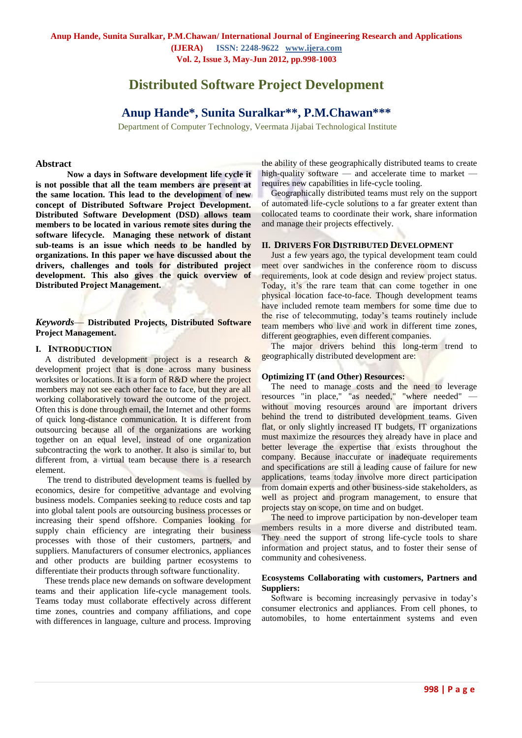**(IJERA) ISSN: 2248-9622 www.ijera.com Vol. 2, Issue 3, May-Jun 2012, pp.998-1003**

# **Distributed Software Project Development**

## **Anup Hande\*, Sunita Suralkar\*\*, P.M.Chawan\*\*\***

Department of Computer Technology, Veermata Jijabai Technological Institute

#### **Abstract**

**Now a days in Software development life cycle it is not possible that all the team members are present at the same location. This lead to the development of new concept of Distributed Software Project Development. Distributed Software Development (DSD) allows team members to be located in various remote sites during the software lifecycle. Managing these network of distant sub-teams is an issue which needs to be handled by organizations. In this paper we have discussed about the drivers, challenges and tools for distributed project development. This also gives the quick overview of Distributed Project Management.**

*Keywords*— **Distributed Projects, Distributed Software Project Management.**

#### **I. INTRODUCTION**

A distributed development project is a research & development project that is done across many business worksites or locations. It is a form of R&D where the project members may not see each other face to face, but they are all working collaboratively toward the outcome of the project. Often this is done through email, the Internet and other forms of quick long-distance communication. It is different from outsourcing because all of the organizations are working together on an equal level, instead of one organization subcontracting the work to another. It also is similar to, but different from, a virtual team because there is a research element.

The trend to distributed development teams is fuelled by economics, desire for competitive advantage and evolving business models. Companies seeking to reduce costs and tap into global talent pools are outsourcing business processes or increasing their spend offshore. Companies looking for supply chain efficiency are integrating their business processes with those of their customers, partners, and suppliers. Manufacturers of consumer electronics, appliances and other products are building partner ecosystems to differentiate their products through software functionality.

These trends place new demands on software development teams and their application life-cycle management tools. Teams today must collaborate effectively across different time zones, countries and company affiliations, and cope with differences in language, culture and process. Improving the ability of these geographically distributed teams to create high-quality software — and accelerate time to market requires new capabilities in life-cycle tooling.

Geographically distributed teams must rely on the support of automated life-cycle solutions to a far greater extent than collocated teams to coordinate their work, share information and manage their projects effectively.

#### **II. DRIVERS FOR DISTRIBUTED DEVELOPMENT**

Just a few years ago, the typical development team could meet over sandwiches in the conference room to discuss requirements, look at code design and review project status. Today, it's the rare team that can come together in one physical location face-to-face. Though development teams have included remote team members for some time due to the rise of telecommuting, today's teams routinely include team members who live and work in different time zones, different geographies, even different companies.

The major drivers behind this long-term trend to geographically distributed development are:

#### **Optimizing IT (and Other) Resources:**

The need to manage costs and the need to leverage resources "in place," "as needed," "where needed" without moving resources around are important drivers behind the trend to distributed development teams. Given flat, or only slightly increased IT budgets, IT organizations must maximize the resources they already have in place and better leverage the expertise that exists throughout the company. Because inaccurate or inadequate requirements and specifications are still a leading cause of failure for new applications, teams today involve more direct participation from domain experts and other business-side stakeholders, as well as project and program management, to ensure that projects stay on scope, on time and on budget.

The need to improve participation by non-developer team members results in a more diverse and distributed team. They need the support of strong life-cycle tools to share information and project status, and to foster their sense of community and cohesiveness.

#### **Ecosystems Collaborating with customers, Partners and Suppliers:**

Software is becoming increasingly pervasive in today's consumer electronics and appliances. From cell phones, to automobiles, to home entertainment systems and even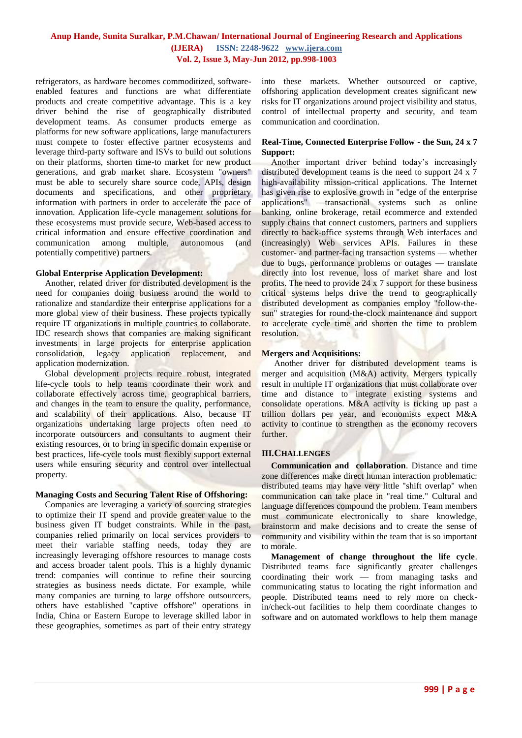refrigerators, as hardware becomes commoditized, softwareenabled features and functions are what differentiate products and create competitive advantage. This is a key driver behind the rise of geographically distributed development teams. As consumer products emerge as platforms for new software applications, large manufacturers must compete to foster effective partner ecosystems and leverage third-party software and ISVs to build out solutions on their platforms, shorten time-to market for new product generations, and grab market share. Ecosystem "owners" must be able to securely share source code, APIs, design documents and specifications, and other proprietary information with partners in order to accelerate the pace of innovation. Application life-cycle management solutions for these ecosystems must provide secure, Web-based access to critical information and ensure effective coordination and communication among multiple, autonomous (and potentially competitive) partners.

#### **Global Enterprise Application Development:**

Another, related driver for distributed development is the need for companies doing business around the world to rationalize and standardize their enterprise applications for a more global view of their business. These projects typically require IT organizations in multiple countries to collaborate. IDC research shows that companies are making significant investments in large projects for enterprise application consolidation, legacy application replacement, and application modernization.

Global development projects require robust, integrated life-cycle tools to help teams coordinate their work and collaborate effectively across time, geographical barriers, and changes in the team to ensure the quality, performance, and scalability of their applications. Also, because IT organizations undertaking large projects often need to incorporate outsourcers and consultants to augment their existing resources, or to bring in specific domain expertise or best practices, life-cycle tools must flexibly support external users while ensuring security and control over intellectual property.

#### **Managing Costs and Securing Talent Rise of Offshoring:**

Companies are leveraging a variety of sourcing strategies to optimize their IT spend and provide greater value to the business given IT budget constraints. While in the past, companies relied primarily on local services providers to meet their variable staffing needs, today they are increasingly leveraging offshore resources to manage costs and access broader talent pools. This is a highly dynamic trend: companies will continue to refine their sourcing strategies as business needs dictate. For example, while many companies are turning to large offshore outsourcers, others have established "captive offshore" operations in India, China or Eastern Europe to leverage skilled labor in these geographies, sometimes as part of their entry strategy

into these markets. Whether outsourced or captive, offshoring application development creates significant new risks for IT organizations around project visibility and status, control of intellectual property and security, and team communication and coordination.

#### **Real-Time, Connected Enterprise Follow - the Sun, 24 x 7 Support:**

Another important driver behind today's increasingly distributed development teams is the need to support 24 x 7 high-availability mission-critical applications. The Internet has given rise to explosive growth in "edge of the enterprise applications" —transactional systems such as online banking, online brokerage, retail ecommerce and extended supply chains that connect customers, partners and suppliers directly to back-office systems through Web interfaces and (increasingly) Web services APIs. Failures in these customer- and partner-facing transaction systems — whether due to bugs, performance problems or outages — translate directly into lost revenue, loss of market share and lost profits. The need to provide 24 x 7 support for these business critical systems helps drive the trend to geographically distributed development as companies employ "follow-thesun" strategies for round-the-clock maintenance and support to accelerate cycle time and shorten the time to problem resolution.

#### **Mergers and Acquisitions:**

Another driver for distributed development teams is merger and acquisition (M&A) activity. Mergers typically result in multiple IT organizations that must collaborate over time and distance to integrate existing systems and consolidate operations. M&A activity is ticking up past a trillion dollars per year, and economists expect M&A activity to continue to strengthen as the economy recovers further.

## **III.CHALLENGES**

**Communication and collaboration**. Distance and time zone differences make direct human interaction problematic: distributed teams may have very little "shift overlap" when communication can take place in "real time." Cultural and language differences compound the problem. Team members must communicate electronically to share knowledge, brainstorm and make decisions and to create the sense of community and visibility within the team that is so important to morale.

**Management of change throughout the life cycle**. Distributed teams face significantly greater challenges coordinating their work — from managing tasks and communicating status to locating the right information and people. Distributed teams need to rely more on checkin/check-out facilities to help them coordinate changes to software and on automated workflows to help them manage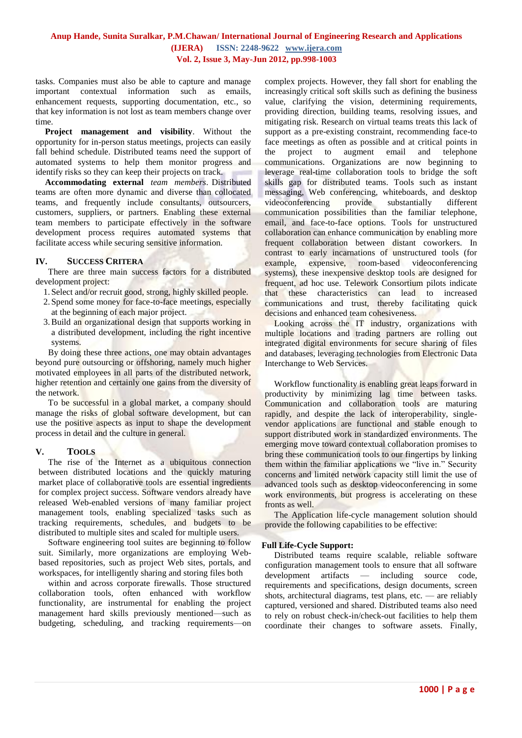tasks. Companies must also be able to capture and manage important contextual information such as emails, enhancement requests, supporting documentation, etc., so that key information is not lost as team members change over time.

**Project management and visibility**. Without the opportunity for in-person status meetings, projects can easily fall behind schedule. Distributed teams need the support of automated systems to help them monitor progress and identify risks so they can keep their projects on track.

**Accommodating external** *team members*. Distributed teams are often more dynamic and diverse than collocated teams, and frequently include consultants, outsourcers, customers, suppliers, or partners. Enabling these external team members to participate effectively in the software development process requires automated systems that facilitate access while securing sensitive information.

#### **IV. SUCCESS CRITERA**

There are three main success factors for a distributed development project:

- 1. Select and/or recruit good, strong, highly skilled people.
- 2. Spend some money for face-to-face meetings, especially at the beginning of each major project.
- 3.Build an organizational design that supports working in a distributed development, including the right incentive systems.

By doing these three actions, one may obtain advantages beyond pure outsourcing or offshoring, namely much higher motivated employees in all parts of the distributed network, higher retention and certainly one gains from the diversity of the network.

To be successful in a global market, a company should manage the risks of global software development, but can use the positive aspects as input to shape the development process in detail and the culture in general.

#### **V. TOOLS**

The rise of the Internet as a ubiquitous connection between distributed locations and the quickly maturing market place of collaborative tools are essential ingredients for complex project success. Software vendors already have released Web-enabled versions of many familiar project management tools, enabling specialized tasks such as tracking requirements, schedules, and budgets to be distributed to multiple sites and scaled for multiple users.

Software engineering tool suites are beginning to follow suit. Similarly, more organizations are employing Webbased repositories, such as project Web sites, portals, and workspaces, for intelligently sharing and storing files both

within and across corporate firewalls. Those structured collaboration tools, often enhanced with workflow functionality, are instrumental for enabling the project management hard skills previously mentioned—such as budgeting, scheduling, and tracking requirements—on complex projects. However, they fall short for enabling the increasingly critical soft skills such as defining the business value, clarifying the vision, determining requirements, providing direction, building teams, resolving issues, and mitigating risk. Research on virtual teams treats this lack of support as a pre-existing constraint, recommending face-to face meetings as often as possible and at critical points in the project to augment email and telephone communications. Organizations are now beginning to leverage real-time collaboration tools to bridge the soft skills gap for distributed teams. Tools such as instant messaging, Web conferencing, whiteboards, and desktop videoconferencing provide substantially different communication possibilities than the familiar telephone, email, and face-to-face options. Tools for unstructured collaboration can enhance communication by enabling more frequent collaboration between distant coworkers. In contrast to early incarnations of unstructured tools (for example, expensive, room-based videoconferencing systems), these inexpensive desktop tools are designed for frequent, ad hoc use. Telework Consortium pilots indicate that these characteristics can lead to increased communications and trust, thereby facilitating quick decisions and enhanced team cohesiveness.

Looking across the IT industry, organizations with multiple locations and trading partners are rolling out integrated digital environments for secure sharing of files and databases, leveraging technologies from Electronic Data Interchange to Web Services.

Workflow functionality is enabling great leaps forward in productivity by minimizing lag time between tasks. Communication and collaboration tools are maturing rapidly, and despite the lack of interoperability, singlevendor applications are functional and stable enough to support distributed work in standardized environments. The emerging move toward contextual collaboration promises to bring these communication tools to our fingertips by linking them within the familiar applications we "live in." Security concerns and limited network capacity still limit the use of advanced tools such as desktop videoconferencing in some work environments, but progress is accelerating on these fronts as well.

The Application life-cycle management solution should provide the following capabilities to be effective:

#### **Full Life-Cycle Support:**

Distributed teams require scalable, reliable software configuration management tools to ensure that all software development artifacts — including source code, requirements and specifications, design documents, screen shots, architectural diagrams, test plans, etc. — are reliably captured, versioned and shared. Distributed teams also need to rely on robust check-in/check-out facilities to help them coordinate their changes to software assets. Finally,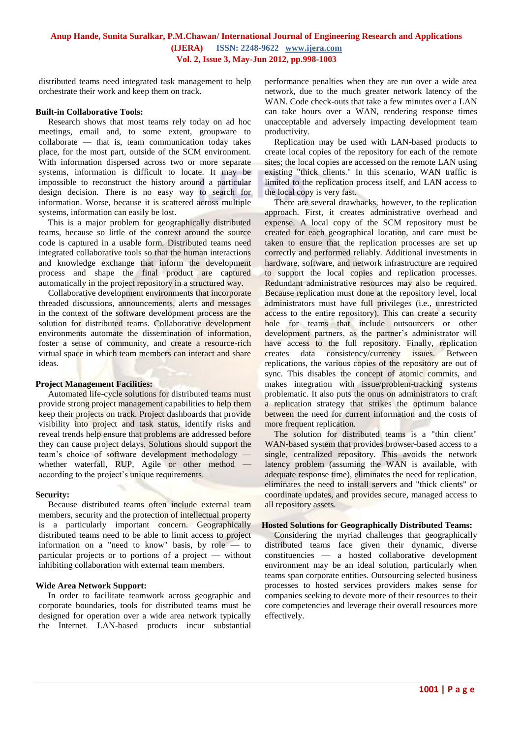distributed teams need integrated task management to help orchestrate their work and keep them on track.

#### **Built-in Collaborative Tools:**

Research shows that most teams rely today on ad hoc meetings, email and, to some extent, groupware to collaborate — that is, team communication today takes place, for the most part, outside of the SCM environment. With information dispersed across two or more separate systems, information is difficult to locate. It may be impossible to reconstruct the history around a particular design decision. There is no easy way to search for information. Worse, because it is scattered across multiple systems, information can easily be lost.

This is a major problem for geographically distributed teams, because so little of the context around the source code is captured in a usable form. Distributed teams need integrated collaborative tools so that the human interactions and knowledge exchange that inform the development process and shape the final product are captured automatically in the project repository in a structured way.

Collaborative development environments that incorporate threaded discussions, announcements, alerts and messages in the context of the software development process are the solution for distributed teams. Collaborative development environments automate the dissemination of information, foster a sense of community, and create a resource-rich virtual space in which team members can interact and share ideas.

#### **Project Management Facilities:**

Automated life-cycle solutions for distributed teams must provide strong project management capabilities to help them keep their projects on track. Project dashboards that provide visibility into project and task status, identify risks and reveal trends help ensure that problems are addressed before they can cause project delays. Solutions should support the team's choice of software development methodology whether waterfall, RUP, Agile or other method according to the project's unique requirements.

#### **Security:**

Because distributed teams often include external team members, security and the protection of intellectual property is a particularly important concern. Geographically distributed teams need to be able to limit access to project information on a "need to know" basis, by role — to particular projects or to portions of a project — without inhibiting collaboration with external team members.

#### **Wide Area Network Support:**

In order to facilitate teamwork across geographic and corporate boundaries, tools for distributed teams must be designed for operation over a wide area network typically the Internet. LAN-based products incur substantial performance penalties when they are run over a wide area network, due to the much greater network latency of the WAN. Code check-outs that take a few minutes over a LAN can take hours over a WAN, rendering response times unacceptable and adversely impacting development team productivity.

Replication may be used with LAN-based products to create local copies of the repository for each of the remote sites; the local copies are accessed on the remote LAN using existing "thick clients." In this scenario, WAN traffic is limited to the replication process itself, and LAN access to the local copy is very fast.

There are several drawbacks, however, to the replication approach. First, it creates administrative overhead and expense. A local copy of the SCM repository must be created for each geographical location, and care must be taken to ensure that the replication processes are set up correctly and performed reliably. Additional investments in hardware, software, and network infrastructure are required to support the local copies and replication processes. Redundant administrative resources may also be required. Because replication must done at the repository level, local administrators must have full privileges (i.e., unrestricted access to the entire repository). This can create a security hole for teams that include outsourcers or other development partners, as the partner's administrator will have access to the full repository. Finally, replication creates data consistency/currency issues. Between replications, the various copies of the repository are out of sync. This disables the concept of atomic commits, and makes integration with issue/problem-tracking systems problematic. It also puts the onus on administrators to craft a replication strategy that strikes the optimum balance between the need for current information and the costs of more frequent replication.

The solution for distributed teams is a "thin client" WAN-based system that provides browser-based access to a single, centralized repository. This avoids the network latency problem (assuming the WAN is available, with adequate response time), eliminates the need for replication, eliminates the need to install servers and "thick clients" or coordinate updates, and provides secure, managed access to all repository assets.

#### **Hosted Solutions for Geographically Distributed Teams:**

Considering the myriad challenges that geographically distributed teams face given their dynamic, diverse constituencies — a hosted collaborative development environment may be an ideal solution, particularly when teams span corporate entities. Outsourcing selected business processes to hosted services providers makes sense for companies seeking to devote more of their resources to their core competencies and leverage their overall resources more effectively.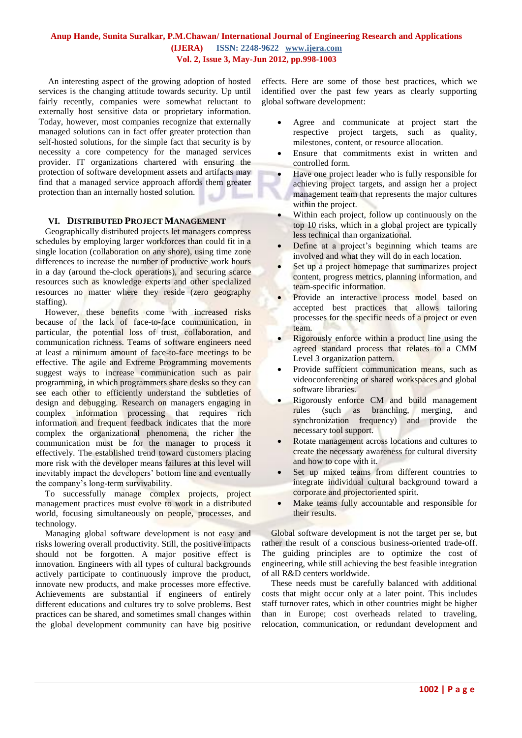An interesting aspect of the growing adoption of hosted services is the changing attitude towards security. Up until fairly recently, companies were somewhat reluctant to externally host sensitive data or proprietary information. Today, however, most companies recognize that externally managed solutions can in fact offer greater protection than self-hosted solutions, for the simple fact that security is by necessity a core competency for the managed services provider. IT organizations chartered with ensuring the protection of software development assets and artifacts may find that a managed service approach affords them greater protection than an internally hosted solution.

#### **VI. DISTRIBUTED PROJECT MANAGEMENT**

Geographically distributed projects let managers compress schedules by employing larger workforces than could fit in a single location (collaboration on any shore), using time zone differences to increase the number of productive work hours in a day (around the-clock operations), and securing scarce resources such as knowledge experts and other specialized resources no matter where they reside (zero geography staffing).

However, these benefits come with increased risks because of the lack of face-to-face communication, in particular, the potential loss of trust, collaboration, and communication richness. Teams of software engineers need at least a minimum amount of face-to-face meetings to be effective. The agile and Extreme Programming movements suggest ways to increase communication such as pair programming, in which programmers share desks so they can see each other to efficiently understand the subtleties of design and debugging. Research on managers engaging in complex information processing that requires rich information and frequent feedback indicates that the more complex the organizational phenomena, the richer the communication must be for the manager to process it effectively. The established trend toward customers placing more risk with the developer means failures at this level will inevitably impact the developers' bottom line and eventually the company's long-term survivability.

To successfully manage complex projects, project management practices must evolve to work in a distributed world, focusing simultaneously on people, processes, and technology.

Managing global software development is not easy and risks lowering overall productivity. Still, the positive impacts should not be forgotten. A major positive effect is innovation. Engineers with all types of cultural backgrounds actively participate to continuously improve the product, innovate new products, and make processes more effective. Achievements are substantial if engineers of entirely different educations and cultures try to solve problems. Best practices can be shared, and sometimes small changes within the global development community can have big positive effects. Here are some of those best practices, which we identified over the past few years as clearly supporting global software development:

- Agree and communicate at project start the respective project targets, such as quality, milestones, content, or resource allocation.
- Ensure that commitments exist in written and controlled form.
- Have one project leader who is fully responsible for achieving project targets, and assign her a project management team that represents the major cultures within the project.
- Within each project, follow up continuously on the top 10 risks, which in a global project are typically less technical than organizational.
- Define at a project's beginning which teams are involved and what they will do in each location.
- Set up a project homepage that summarizes project content, progress metrics, planning information, and team-specific information.
- Provide an interactive process model based on accepted best practices that allows tailoring processes for the specific needs of a project or even team.
- Rigorously enforce within a product line using the agreed standard process that relates to a CMM Level 3 organization pattern.
- Provide sufficient communication means, such as videoconferencing or shared workspaces and global software libraries.
- Rigorously enforce CM and build management rules (such as branching, merging, and synchronization frequency) and provide the necessary tool support.
- Rotate management across locations and cultures to create the necessary awareness for cultural diversity and how to cope with it.
- Set up mixed teams from different countries to integrate individual cultural background toward a corporate and projectoriented spirit.
- Make teams fully accountable and responsible for their results.

Global software development is not the target per se, but rather the result of a conscious business-oriented trade-off. The guiding principles are to optimize the cost of engineering, while still achieving the best feasible integration of all R&D centers worldwide.

These needs must be carefully balanced with additional costs that might occur only at a later point. This includes staff turnover rates, which in other countries might be higher than in Europe; cost overheads related to traveling, relocation, communication, or redundant development and